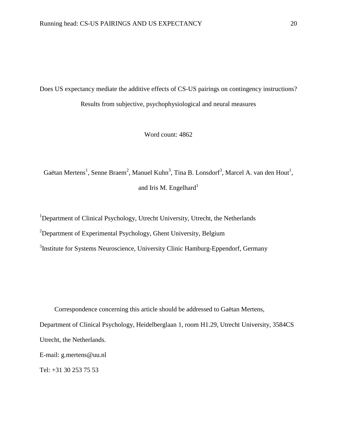Does US expectancy mediate the additive effects of CS-US pairings on contingency instructions? Results from subjective, psychophysiological and neural measures

Word count: 4862

Gaëtan Mertens<sup>1</sup>, Senne Braem<sup>2</sup>, Manuel Kuhn<sup>3</sup>, Tina B. Lonsdorf<sup>3</sup>, Marcel A. van den Hout<sup>1</sup>, and Iris M. Engelhard $1$ 

<sup>1</sup>Department of Clinical Psychology, Utrecht University, Utrecht, the Netherlands

<sup>2</sup>Department of Experimental Psychology, Ghent University, Belgium

<sup>3</sup>Institute for Systems Neuroscience, University Clinic Hamburg-Eppendorf, Germany

Correspondence concerning this article should be addressed to Gaëtan Mertens, Department of Clinical Psychology, Heidelberglaan 1, room H1.29, Utrecht University, 3584CS Utrecht, the Netherlands. E-mail: g.mertens@uu.nl

Tel: +31 30 253 75 53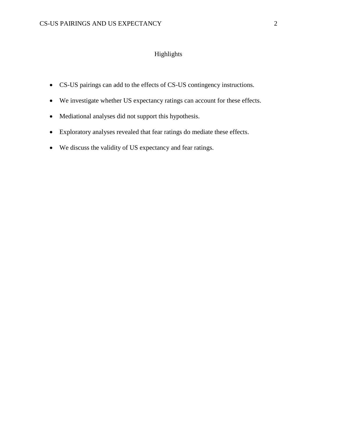## Highlights

- CS-US pairings can add to the effects of CS-US contingency instructions.
- We investigate whether US expectancy ratings can account for these effects.
- Mediational analyses did not support this hypothesis.
- Exploratory analyses revealed that fear ratings do mediate these effects.
- We discuss the validity of US expectancy and fear ratings.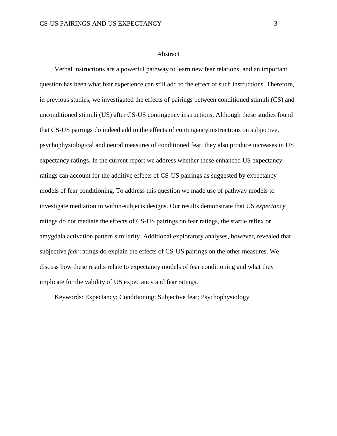#### Abstract

Verbal instructions are a powerful pathway to learn new fear relations, and an important question has been what fear experience can still add to the effect of such instructions. Therefore, in previous studies, we investigated the effects of pairings between conditioned stimuli (CS) and unconditioned stimuli (US) after CS-US contingency instructions. Although these studies found that CS-US pairings do indeed add to the effects of contingency instructions on subjective, psychophysiological and neural measures of conditioned fear, they also produce increases in US expectancy ratings. In the current report we address whether these enhanced US expectancy ratings can account for the additive effects of CS-US pairings as suggested by expectancy models of fear conditioning. To address this question we made use of pathway models to investigate mediation in within-subjects designs. Our results demonstrate that US *expectancy* ratings do not mediate the effects of CS-US pairings on fear ratings, the startle reflex or amygdala activation pattern similarity. Additional exploratory analyses, however, revealed that subjective *fear* ratings do explain the effects of CS-US pairings on the other measures. We discuss how these results relate to expectancy models of fear conditioning and what they implicate for the validity of US expectancy and fear ratings.

Keywords: Expectancy; Conditioning; Subjective fear; Psychophysiology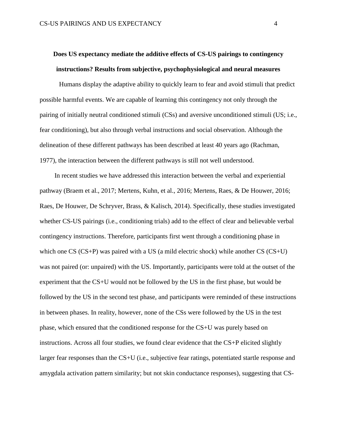# **Does US expectancy mediate the additive effects of CS-US pairings to contingency instructions? Results from subjective, psychophysiological and neural measures**

Humans display the adaptive ability to quickly learn to fear and avoid stimuli that predict possible harmful events. We are capable of learning this contingency not only through the pairing of initially neutral conditioned stimuli (CSs) and aversive unconditioned stimuli (US; i.e., fear conditioning), but also through verbal instructions and social observation. Although the delineation of these different pathways has been described at least 40 years ago (Rachman, 1977), the interaction between the different pathways is still not well understood.

In recent studies we have addressed this interaction between the verbal and experiential pathway (Braem et al., 2017; Mertens, Kuhn, et al., 2016; Mertens, Raes, & De Houwer, 2016; Raes, De Houwer, De Schryver, Brass, & Kalisch, 2014). Specifically, these studies investigated whether CS-US pairings (i.e., conditioning trials) add to the effect of clear and believable verbal contingency instructions. Therefore, participants first went through a conditioning phase in which one CS (CS+P) was paired with a US (a mild electric shock) while another CS (CS+U) was not paired (or: unpaired) with the US. Importantly, participants were told at the outset of the experiment that the CS+U would not be followed by the US in the first phase, but would be followed by the US in the second test phase, and participants were reminded of these instructions in between phases. In reality, however, none of the CSs were followed by the US in the test phase, which ensured that the conditioned response for the CS+U was purely based on instructions. Across all four studies, we found clear evidence that the  $CS+P$  elicited slightly larger fear responses than the CS+U (i.e., subjective fear ratings, potentiated startle response and amygdala activation pattern similarity; but not skin conductance responses), suggesting that CS-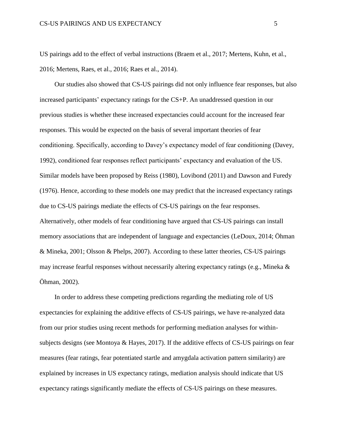US pairings add to the effect of verbal instructions (Braem et al., 2017; Mertens, Kuhn, et al., 2016; Mertens, Raes, et al., 2016; Raes et al., 2014).

Our studies also showed that CS-US pairings did not only influence fear responses, but also increased participants' expectancy ratings for the CS+P. An unaddressed question in our previous studies is whether these increased expectancies could account for the increased fear responses. This would be expected on the basis of several important theories of fear conditioning. Specifically, according to Davey's expectancy model of fear conditioning (Davey, 1992), conditioned fear responses reflect participants' expectancy and evaluation of the US. Similar models have been proposed by Reiss (1980), Lovibond (2011) and Dawson and Furedy (1976). Hence, according to these models one may predict that the increased expectancy ratings due to CS-US pairings mediate the effects of CS-US pairings on the fear responses. Alternatively, other models of fear conditioning have argued that CS-US pairings can install memory associations that are independent of language and expectancies (LeDoux, 2014; Öhman & Mineka, 2001; Olsson & Phelps, 2007). According to these latter theories, CS-US pairings may increase fearful responses without necessarily altering expectancy ratings (e.g., Mineka & Öhman, 2002).

In order to address these competing predictions regarding the mediating role of US expectancies for explaining the additive effects of CS-US pairings, we have re-analyzed data from our prior studies using recent methods for performing mediation analyses for withinsubjects designs (see Montoya & Hayes, 2017). If the additive effects of CS-US pairings on fear measures (fear ratings, fear potentiated startle and amygdala activation pattern similarity) are explained by increases in US expectancy ratings, mediation analysis should indicate that US expectancy ratings significantly mediate the effects of CS-US pairings on these measures.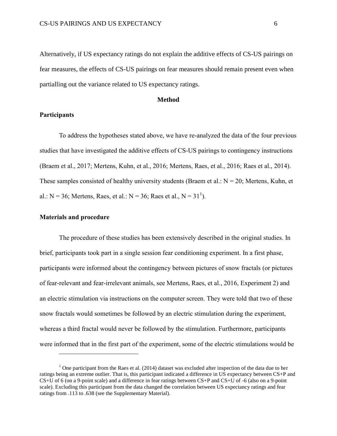Alternatively, if US expectancy ratings do not explain the additive effects of CS-US pairings on fear measures, the effects of CS-US pairings on fear measures should remain present even when partialling out the variance related to US expectancy ratings.

#### **Method**

#### **Participants**

To address the hypotheses stated above, we have re-analyzed the data of the four previous studies that have investigated the additive effects of CS-US pairings to contingency instructions (Braem et al., 2017; Mertens, Kuhn, et al., 2016; Mertens, Raes, et al., 2016; Raes et al., 2014). These samples consisted of healthy university students (Braem et al.:  $N = 20$ ; Mertens, Kuhn, et al.:  $N = 36$ ; Mertens, Raes, et al.:  $N = 36$ ; Raes et al.,  $N = 31<sup>1</sup>$ ).

#### **Materials and procedure**

 $\overline{a}$ 

The procedure of these studies has been extensively described in the original studies. In brief, participants took part in a single session fear conditioning experiment. In a first phase, participants were informed about the contingency between pictures of snow fractals (or pictures of fear-relevant and fear-irrelevant animals, see Mertens, Raes, et al., 2016, Experiment 2) and an electric stimulation via instructions on the computer screen. They were told that two of these snow fractals would sometimes be followed by an electric stimulation during the experiment, whereas a third fractal would never be followed by the stimulation. Furthermore, participants were informed that in the first part of the experiment, some of the electric stimulations would be

 $1$  One participant from the Raes et al. (2014) dataset was excluded after inspection of the data due to her ratings being an extreme outlier. That is, this participant indicated a difference in US expectancy between CS+P and CS+U of 6 (on a 9-point scale) and a difference in fear ratings between CS+P and CS+U of -6 (also on a 9-point scale). Excluding this participant from the data changed the correlation between US expectancy ratings and fear ratings from .113 to .638 (see the Supplementary Material).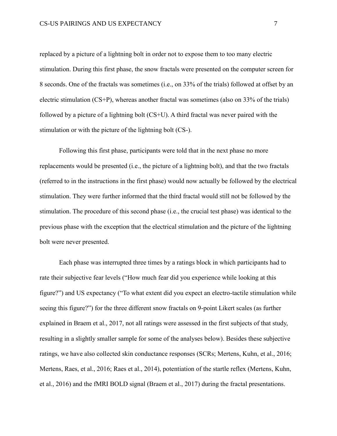replaced by a picture of a lightning bolt in order not to expose them to too many electric stimulation. During this first phase, the snow fractals were presented on the computer screen for 8 seconds. One of the fractals was sometimes (i.e., on 33% of the trials) followed at offset by an electric stimulation (CS+P), whereas another fractal was sometimes (also on 33% of the trials) followed by a picture of a lightning bolt (CS+U). A third fractal was never paired with the stimulation or with the picture of the lightning bolt (CS-).

Following this first phase, participants were told that in the next phase no more replacements would be presented (i.e., the picture of a lightning bolt), and that the two fractals (referred to in the instructions in the first phase) would now actually be followed by the electrical stimulation. They were further informed that the third fractal would still not be followed by the stimulation. The procedure of this second phase (i.e., the crucial test phase) was identical to the previous phase with the exception that the electrical stimulation and the picture of the lightning bolt were never presented.

Each phase was interrupted three times by a ratings block in which participants had to rate their subjective fear levels ("How much fear did you experience while looking at this figure?") and US expectancy ("To what extent did you expect an electro-tactile stimulation while seeing this figure?") for the three different snow fractals on 9-point Likert scales (as further explained in Braem et al., 2017, not all ratings were assessed in the first subjects of that study, resulting in a slightly smaller sample for some of the analyses below). Besides these subjective ratings, we have also collected skin conductance responses (SCRs; Mertens, Kuhn, et al., 2016; Mertens, Raes, et al., 2016; Raes et al., 2014), potentiation of the startle reflex (Mertens, Kuhn, et al., 2016) and the fMRI BOLD signal (Braem et al., 2017) during the fractal presentations.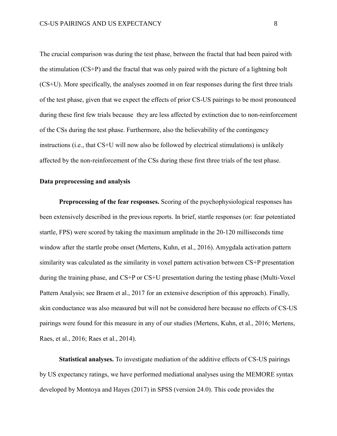The crucial comparison was during the test phase, between the fractal that had been paired with the stimulation (CS+P) and the fractal that was only paired with the picture of a lightning bolt (CS+U). More specifically, the analyses zoomed in on fear responses during the first three trials of the test phase, given that we expect the effects of prior CS-US pairings to be most pronounced during these first few trials because they are less affected by extinction due to non-reinforcement of the CSs during the test phase. Furthermore, also the believability of the contingency instructions (i.e., that CS+U will now also be followed by electrical stimulations) is unlikely affected by the non-reinforcement of the CSs during these first three trials of the test phase.

#### **Data preprocessing and analysis**

**Preprocessing of the fear responses.** Scoring of the psychophysiological responses has been extensively described in the previous reports. In brief, startle responses (or: fear potentiated startle, FPS) were scored by taking the maximum amplitude in the 20-120 milliseconds time window after the startle probe onset (Mertens, Kuhn, et al., 2016). Amygdala activation pattern similarity was calculated as the similarity in voxel pattern activation between CS+P presentation during the training phase, and CS+P or CS+U presentation during the testing phase (Multi-Voxel Pattern Analysis; see Braem et al., 2017 for an extensive description of this approach). Finally, skin conductance was also measured but will not be considered here because no effects of CS-US pairings were found for this measure in any of our studies (Mertens, Kuhn, et al., 2016; Mertens, Raes, et al., 2016; Raes et al., 2014).

**Statistical analyses.** To investigate mediation of the additive effects of CS-US pairings by US expectancy ratings, we have performed mediational analyses using the MEMORE syntax developed by Montoya and Hayes (2017) in SPSS (version 24.0). This code provides the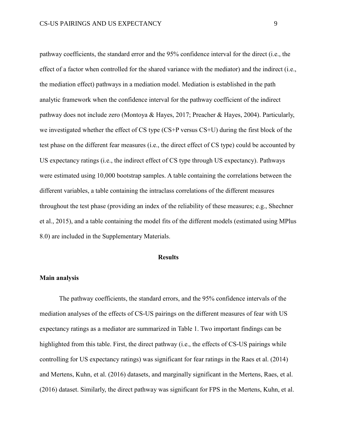pathway coefficients, the standard error and the 95% confidence interval for the direct (i.e., the effect of a factor when controlled for the shared variance with the mediator) and the indirect (i.e., the mediation effect) pathways in a mediation model. Mediation is established in the path analytic framework when the confidence interval for the pathway coefficient of the indirect pathway does not include zero (Montoya & Hayes, 2017; Preacher & Hayes, 2004). Particularly, we investigated whether the effect of CS type (CS+P versus CS+U) during the first block of the test phase on the different fear measures (i.e., the direct effect of CS type) could be accounted by US expectancy ratings (i.e., the indirect effect of CS type through US expectancy). Pathways were estimated using 10,000 bootstrap samples. A table containing the correlations between the different variables, a table containing the intraclass correlations of the different measures throughout the test phase (providing an index of the reliability of these measures; e.g., Shechner et al., 2015), and a table containing the model fits of the different models (estimated using MPlus 8.0) are included in the Supplementary Materials.

#### **Results**

#### **Main analysis**

The pathway coefficients, the standard errors, and the 95% confidence intervals of the mediation analyses of the effects of CS-US pairings on the different measures of fear with US expectancy ratings as a mediator are summarized in Table 1. Two important findings can be highlighted from this table. First, the direct pathway (i.e., the effects of CS-US pairings while controlling for US expectancy ratings) was significant for fear ratings in the Raes et al. (2014) and Mertens, Kuhn, et al. (2016) datasets, and marginally significant in the Mertens, Raes, et al. (2016) dataset. Similarly, the direct pathway was significant for FPS in the Mertens, Kuhn, et al.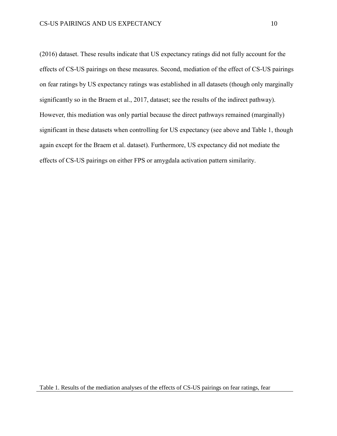(2016) dataset. These results indicate that US expectancy ratings did not fully account for the effects of CS-US pairings on these measures. Second, mediation of the effect of CS-US pairings on fear ratings by US expectancy ratings was established in all datasets (though only marginally significantly so in the Braem et al., 2017, dataset; see the results of the indirect pathway). However, this mediation was only partial because the direct pathways remained (marginally) significant in these datasets when controlling for US expectancy (see above and Table 1, though again except for the Braem et al. dataset). Furthermore, US expectancy did not mediate the effects of CS-US pairings on either FPS or amygdala activation pattern similarity.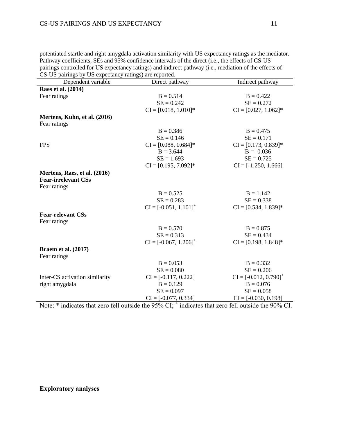potentiated startle and right amygdala activation similarity with US expectancy ratings as the mediator. Pathway coefficients, SEs and 95% confidence intervals of the direct (i.e., the effects of CS-US pairings controlled for US expectancy ratings) and indirect pathway (i.e., mediation of the effects of CS-US pairings by US expectancy ratings) are reported.

| CS-OS partings by OS expectancy ratings) are reported.<br>Dependent variable                                  | Direct pathway           | Indirect pathway         |
|---------------------------------------------------------------------------------------------------------------|--------------------------|--------------------------|
|                                                                                                               |                          |                          |
| Raes et al. (2014)                                                                                            |                          |                          |
| Fear ratings                                                                                                  | $B = 0.514$              | $B = 0.422$              |
|                                                                                                               | $SE = 0.242$             | $SE = 0.272$             |
|                                                                                                               | $CI = [0.018, 1.010]$ *  | $CI = [0.027, 1.062]$ *  |
| Mertens, Kuhn, et al. (2016)                                                                                  |                          |                          |
| Fear ratings                                                                                                  |                          |                          |
|                                                                                                               | $B = 0.386$              | $B = 0.475$              |
|                                                                                                               | $SE = 0.146$             | $SE = 0.171$             |
| <b>FPS</b>                                                                                                    | $CI = [0.088, 0.684]$ *  | $CI = [0.173, 0.839]$ *  |
|                                                                                                               | $B = 3.644$              | $B = -0.036$             |
|                                                                                                               | $SE = 1.693$             | $SE = 0.725$             |
|                                                                                                               | $CI = [0.195, 7.092]$ *  | $CI = [-1.250, 1.666]$   |
| Mertens, Raes, et al. (2016)                                                                                  |                          |                          |
| <b>Fear-irrelevant CSs</b>                                                                                    |                          |                          |
| Fear ratings                                                                                                  |                          |                          |
|                                                                                                               | $B = 0.525$              | $B = 1.142$              |
|                                                                                                               | $SE = 0.283$             | $SE = 0.338$             |
|                                                                                                               | $CI = [-0.051, 1.101]^+$ | $CI = [0.534, 1.839]$ *  |
| <b>Fear-relevant CSs</b>                                                                                      |                          |                          |
| Fear ratings                                                                                                  |                          |                          |
|                                                                                                               | $B = 0.570$              | $B = 0.875$              |
|                                                                                                               | $SE = 0.313$             | $SE = 0.434$             |
|                                                                                                               | $CI = [-0.067, 1.206]^+$ | $CI = [0.198, 1.848]$ *  |
| <b>Braem et al. (2017)</b>                                                                                    |                          |                          |
| Fear ratings                                                                                                  |                          |                          |
|                                                                                                               | $B = 0.053$              | $B = 0.332$              |
|                                                                                                               | $SE = 0.080$             | $SE = 0.206$             |
|                                                                                                               |                          |                          |
| Inter-CS activation similarity                                                                                | $CI = [-0.117, 0.222]$   | $CI = [-0.012, 0.790]^+$ |
| right amygdala                                                                                                | $B = 0.129$              | $B = 0.076$              |
|                                                                                                               | $SE = 0.097$             | $SE = 0.058$             |
| Note: $*$ indicates that zero fall outside the 050/ $CL$ , $*$ indicates that zero fall outside the 000/ $CI$ | $CI = [-0.077, 0.334]$   | $CI = [-0.030, 0.198]$   |

Note: \* indicates that zero fell outside the 95% CI;  $^+$  indicates that zero fell outside the 90% CI.

## **Exploratory analyses**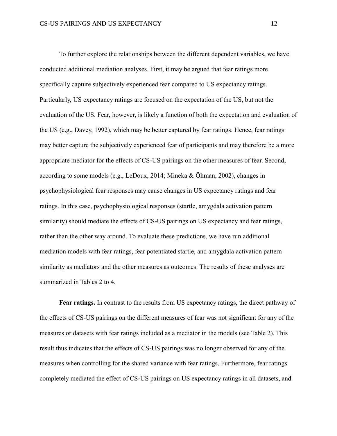To further explore the relationships between the different dependent variables, we have conducted additional mediation analyses. First, it may be argued that fear ratings more specifically capture subjectively experienced fear compared to US expectancy ratings. Particularly, US expectancy ratings are focused on the expectation of the US, but not the evaluation of the US. Fear, however, is likely a function of both the expectation and evaluation of the US (e.g., Davey, 1992), which may be better captured by fear ratings. Hence, fear ratings may better capture the subjectively experienced fear of participants and may therefore be a more appropriate mediator for the effects of CS-US pairings on the other measures of fear. Second, according to some models (e.g., LeDoux, 2014; Mineka & Öhman, 2002), changes in psychophysiological fear responses may cause changes in US expectancy ratings and fear ratings. In this case, psychophysiological responses (startle, amygdala activation pattern similarity) should mediate the effects of CS-US pairings on US expectancy and fear ratings, rather than the other way around. To evaluate these predictions, we have run additional mediation models with fear ratings, fear potentiated startle, and amygdala activation pattern similarity as mediators and the other measures as outcomes. The results of these analyses are summarized in Tables 2 to 4.

**Fear ratings.** In contrast to the results from US expectancy ratings, the direct pathway of the effects of CS-US pairings on the different measures of fear was not significant for any of the measures or datasets with fear ratings included as a mediator in the models (see Table 2). This result thus indicates that the effects of CS-US pairings was no longer observed for any of the measures when controlling for the shared variance with fear ratings. Furthermore, fear ratings completely mediated the effect of CS-US pairings on US expectancy ratings in all datasets, and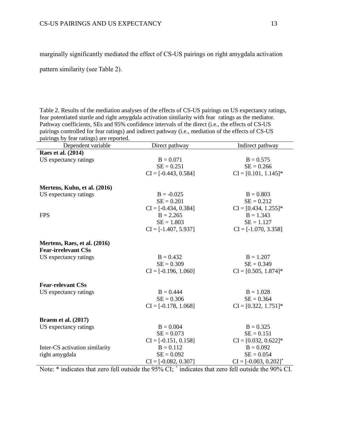marginally significantly mediated the effect of CS-US pairings on right amygdala activation

pattern similarity (see Table 2).

Table 2. Results of the mediation analyses of the effects of CS-US pairings on US expectancy ratings, fear potentiated startle and right amygdala activation similarity with fear ratings as the mediator. Pathway coefficients, SEs and 95% confidence intervals of the direct (i.e., the effects of CS-US pairings controlled for fear ratings) and indirect pathway (i.e., mediation of the effects of CS-US pairings by fear ratings) are reported.

| $\mu$ anings by ical ratings) are reported.<br>Dependent variable | Direct pathway              | Indirect pathway            |
|-------------------------------------------------------------------|-----------------------------|-----------------------------|
| Raes et al. (2014)                                                |                             |                             |
| US expectancy ratings                                             | $B = 0.071$<br>$SE = 0.251$ | $B = 0.575$<br>$SE = 0.266$ |
|                                                                   | $CI = [-0.443, 0.584]$      | $CI = [0.101, 1.145]$ *     |
| Mertens, Kuhn, et al. (2016)                                      |                             |                             |
| US expectancy ratings                                             | $B = -0.025$                | $B = 0.803$                 |
|                                                                   | $SE = 0.201$                | $SE = 0.212$                |
|                                                                   | $CI = [-0.434, 0.384]$      | $CI = [0.434, 1.255]$ *     |
| <b>FPS</b>                                                        | $B = 2.265$                 | $B = 1.343$                 |
|                                                                   | $SE = 1.803$                | $SE = 1.127$                |
|                                                                   | $CI = [-1.407, 5.937]$      | $CI = [-1.070, 3.358]$      |
| Mertens, Raes, et al. (2016)                                      |                             |                             |
| <b>Fear-irrelevant CSs</b>                                        |                             |                             |
| US expectancy ratings                                             | $B = 0.432$                 | $B = 1.207$                 |
|                                                                   | $SE = 0.309$                | $SE = 0.349$                |
|                                                                   | $CI = [-0.196, 1.060]$      | $CI = [0.505, 1.874]$ *     |
| <b>Fear-relevant CSs</b>                                          |                             |                             |
| US expectancy ratings                                             | $B = 0.444$                 | $B = 1.028$                 |
|                                                                   | $SE = 0.306$                | $SE = 0.364$                |
|                                                                   | $CI = [-0.178, 1.068]$      | $CI = [0.322, 1.751]$ *     |
| <b>Braem et al. (2017)</b>                                        |                             |                             |
| US expectancy ratings                                             | $B = 0.004$                 | $B = 0.325$                 |
|                                                                   | $SE = 0.073$                | $SE = 0.151$                |
|                                                                   | $CI = [-0.151, 0.158]$      | $CI = [0.032, 0.622]$ *     |
| Inter-CS activation similarity                                    | $B = 0.112$                 | $B = 0.092$                 |
| right amygdala                                                    | $SE = 0.092$                | $SE = 0.054$                |
|                                                                   | $CI = [-0.082, 0.307]$      | $CI = [-0.003, 0.202]^+$    |

Note: \* indicates that zero fell outside the 95% CI;  $^+$  indicates that zero fell outside the 90% CI.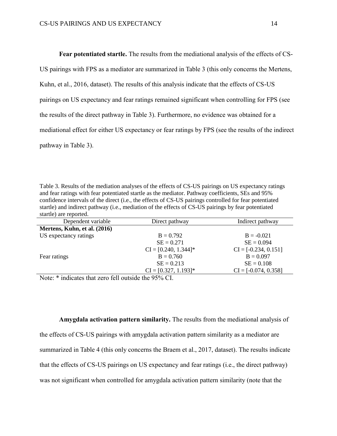**Fear potentiated startle.** The results from the mediational analysis of the effects of CS-US pairings with FPS as a mediator are summarized in Table 3 (this only concerns the Mertens, Kuhn, et al., 2016, dataset). The results of this analysis indicate that the effects of CS-US pairings on US expectancy and fear ratings remained significant when controlling for FPS (see the results of the direct pathway in Table 3). Furthermore, no evidence was obtained for a mediational effect for either US expectancy or fear ratings by FPS (see the results of the indirect pathway in Table 3).

Table 3. Results of the mediation analyses of the effects of CS-US pairings on US expectancy ratings and fear ratings with fear potentiated startle as the mediator. Pathway coefficients, SEs and 95% confidence intervals of the direct (i.e., the effects of CS-US pairings controlled for fear potentiated startle) and indirect pathway (i.e., mediation of the effects of CS-US pairings by fear potentiated startle) are reported.

| Dependent variable           | Direct pathway          | Indirect pathway       |
|------------------------------|-------------------------|------------------------|
| Mertens, Kuhn, et al. (2016) |                         |                        |
| US expectancy ratings        | $B = 0.792$             | $B = -0.021$           |
|                              | $SE = 0.271$            | $SE = 0.094$           |
|                              | $CI = [0.240, 1.344]$ * | $CI = [-0.234, 0.151]$ |
|                              | $B = 0.760$             | $B = 0.097$            |
|                              | $SE = 0.213$            | $SE = 0.108$           |
|                              | $CI = [0.327, 1.193]$ * | $CI = [-0.074, 0.358]$ |
|                              |                         |                        |

Note: \* indicates that zero fell outside the 95% CI.

**Amygdala activation pattern similarity.** The results from the mediational analysis of the effects of CS-US pairings with amygdala activation pattern similarity as a mediator are summarized in Table 4 (this only concerns the Braem et al., 2017, dataset). The results indicate that the effects of CS-US pairings on US expectancy and fear ratings (i.e., the direct pathway) was not significant when controlled for amygdala activation pattern similarity (note that the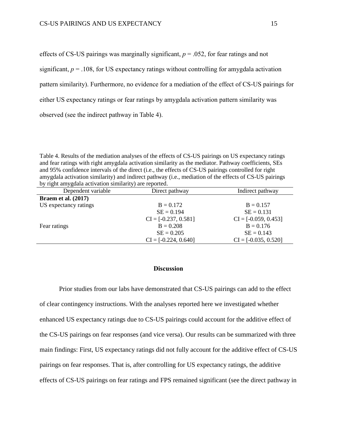effects of CS-US pairings was marginally significant,  $p = .052$ , for fear ratings and not significant,  $p = 0.108$ , for US expectancy ratings without controlling for amygdala activation pattern similarity). Furthermore, no evidence for a mediation of the effect of CS-US pairings for either US expectancy ratings or fear ratings by amygdala activation pattern similarity was observed (see the indirect pathway in Table 4).

Table 4. Results of the mediation analyses of the effects of CS-US pairings on US expectancy ratings and fear ratings with right amygdala activation similarity as the mediator. Pathway coefficients, SEs and 95% confidence intervals of the direct (i.e., the effects of CS-US pairings controlled for right amygdala activation similarity) and indirect pathway (i.e., mediation of the effects of CS-US pairings by right amygdala activation similarity) are reported.

| Dependent variable         | Direct pathway         | Indirect pathway       |
|----------------------------|------------------------|------------------------|
| <b>Braem et al. (2017)</b> |                        |                        |
| US expectancy ratings      | $B = 0.172$            | $B = 0.157$            |
|                            | $SE = 0.194$           | $SE = 0.131$           |
|                            | $CI = [-0.237, 0.581]$ | $CI = [-0.059, 0.453]$ |
| Fear ratings               | $B = 0.208$            | $B = 0.176$            |
|                            | $SE = 0.205$           | $SE = 0.143$           |
|                            | $CI = [-0.224, 0.640]$ | $CI = [-0.035, 0.520]$ |

#### **Discussion**

Prior studies from our labs have demonstrated that CS-US pairings can add to the effect of clear contingency instructions. With the analyses reported here we investigated whether enhanced US expectancy ratings due to CS-US pairings could account for the additive effect of the CS-US pairings on fear responses (and vice versa). Our results can be summarized with three main findings: First, US expectancy ratings did not fully account for the additive effect of CS-US pairings on fear responses. That is, after controlling for US expectancy ratings, the additive effects of CS-US pairings on fear ratings and FPS remained significant (see the direct pathway in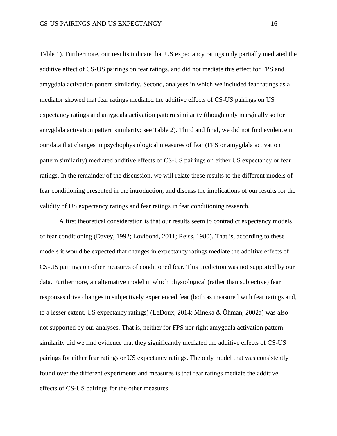Table 1). Furthermore, our results indicate that US expectancy ratings only partially mediated the additive effect of CS-US pairings on fear ratings, and did not mediate this effect for FPS and amygdala activation pattern similarity. Second, analyses in which we included fear ratings as a mediator showed that fear ratings mediated the additive effects of CS-US pairings on US expectancy ratings and amygdala activation pattern similarity (though only marginally so for amygdala activation pattern similarity; see Table 2). Third and final, we did not find evidence in our data that changes in psychophysiological measures of fear (FPS or amygdala activation pattern similarity) mediated additive effects of CS-US pairings on either US expectancy or fear ratings. In the remainder of the discussion, we will relate these results to the different models of fear conditioning presented in the introduction, and discuss the implications of our results for the validity of US expectancy ratings and fear ratings in fear conditioning research.

A first theoretical consideration is that our results seem to contradict expectancy models of fear conditioning (Davey, 1992; Lovibond, 2011; Reiss, 1980). That is, according to these models it would be expected that changes in expectancy ratings mediate the additive effects of CS-US pairings on other measures of conditioned fear. This prediction was not supported by our data. Furthermore, an alternative model in which physiological (rather than subjective) fear responses drive changes in subjectively experienced fear (both as measured with fear ratings and, to a lesser extent, US expectancy ratings) (LeDoux, 2014; Mineka & Öhman, 2002a) was also not supported by our analyses. That is, neither for FPS nor right amygdala activation pattern similarity did we find evidence that they significantly mediated the additive effects of CS-US pairings for either fear ratings or US expectancy ratings. The only model that was consistently found over the different experiments and measures is that fear ratings mediate the additive effects of CS-US pairings for the other measures.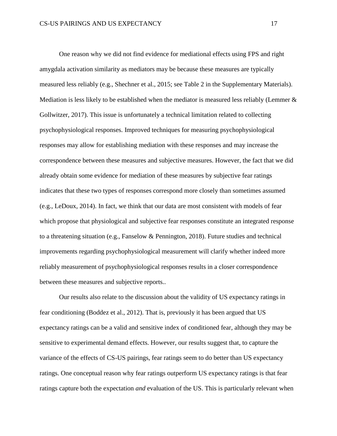One reason why we did not find evidence for mediational effects using FPS and right amygdala activation similarity as mediators may be because these measures are typically measured less reliably (e.g., Shechner et al., 2015; see Table 2 in the Supplementary Materials). Mediation is less likely to be established when the mediator is measured less reliably (Lemmer & Gollwitzer, 2017). This issue is unfortunately a technical limitation related to collecting psychophysiological responses. Improved techniques for measuring psychophysiological responses may allow for establishing mediation with these responses and may increase the correspondence between these measures and subjective measures. However, the fact that we did already obtain some evidence for mediation of these measures by subjective fear ratings indicates that these two types of responses correspond more closely than sometimes assumed (e.g., LeDoux, 2014). In fact, we think that our data are most consistent with models of fear which propose that physiological and subjective fear responses constitute an integrated response to a threatening situation (e.g., Fanselow & Pennington, 2018). Future studies and technical improvements regarding psychophysiological measurement will clarify whether indeed more reliably measurement of psychophysiological responses results in a closer correspondence between these measures and subjective reports..

Our results also relate to the discussion about the validity of US expectancy ratings in fear conditioning (Boddez et al., 2012). That is, previously it has been argued that US expectancy ratings can be a valid and sensitive index of conditioned fear, although they may be sensitive to experimental demand effects. However, our results suggest that, to capture the variance of the effects of CS-US pairings, fear ratings seem to do better than US expectancy ratings. One conceptual reason why fear ratings outperform US expectancy ratings is that fear ratings capture both the expectation *and* evaluation of the US. This is particularly relevant when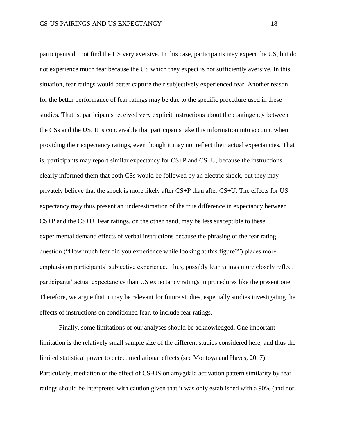participants do not find the US very aversive. In this case, participants may expect the US, but do not experience much fear because the US which they expect is not sufficiently aversive. In this situation, fear ratings would better capture their subjectively experienced fear. Another reason for the better performance of fear ratings may be due to the specific procedure used in these studies. That is, participants received very explicit instructions about the contingency between the CSs and the US. It is conceivable that participants take this information into account when providing their expectancy ratings, even though it may not reflect their actual expectancies. That is, participants may report similar expectancy for CS+P and CS+U, because the instructions clearly informed them that both CSs would be followed by an electric shock, but they may privately believe that the shock is more likely after CS+P than after CS+U. The effects for US expectancy may thus present an underestimation of the true difference in expectancy between CS+P and the CS+U. Fear ratings, on the other hand, may be less susceptible to these experimental demand effects of verbal instructions because the phrasing of the fear rating question ("How much fear did you experience while looking at this figure?") places more emphasis on participants' subjective experience. Thus, possibly fear ratings more closely reflect participants' actual expectancies than US expectancy ratings in procedures like the present one. Therefore, we argue that it may be relevant for future studies, especially studies investigating the effects of instructions on conditioned fear, to include fear ratings.

Finally, some limitations of our analyses should be acknowledged. One important limitation is the relatively small sample size of the different studies considered here, and thus the limited statistical power to detect mediational effects (see Montoya and Hayes, 2017). Particularly, mediation of the effect of CS-US on amygdala activation pattern similarity by fear ratings should be interpreted with caution given that it was only established with a 90% (and not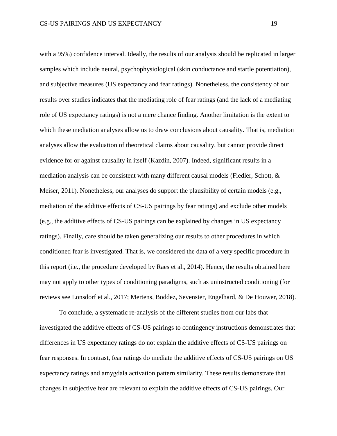with a 95%) confidence interval. Ideally, the results of our analysis should be replicated in larger samples which include neural, psychophysiological (skin conductance and startle potentiation), and subjective measures (US expectancy and fear ratings). Nonetheless, the consistency of our results over studies indicates that the mediating role of fear ratings (and the lack of a mediating role of US expectancy ratings) is not a mere chance finding. Another limitation is the extent to which these mediation analyses allow us to draw conclusions about causality. That is, mediation analyses allow the evaluation of theoretical claims about causality, but cannot provide direct evidence for or against causality in itself (Kazdin, 2007). Indeed, significant results in a mediation analysis can be consistent with many different causal models (Fiedler, Schott, & Meiser, 2011). Nonetheless, our analyses do support the plausibility of certain models (e.g., mediation of the additive effects of CS-US pairings by fear ratings) and exclude other models (e.g., the additive effects of CS-US pairings can be explained by changes in US expectancy ratings). Finally, care should be taken generalizing our results to other procedures in which conditioned fear is investigated. That is, we considered the data of a very specific procedure in this report (i.e., the procedure developed by Raes et al., 2014). Hence, the results obtained here may not apply to other types of conditioning paradigms, such as uninstructed conditioning (for reviews see Lonsdorf et al., 2017; Mertens, Boddez, Sevenster, Engelhard, & De Houwer, 2018).

To conclude, a systematic re-analysis of the different studies from our labs that investigated the additive effects of CS-US pairings to contingency instructions demonstrates that differences in US expectancy ratings do not explain the additive effects of CS-US pairings on fear responses. In contrast, fear ratings do mediate the additive effects of CS-US pairings on US expectancy ratings and amygdala activation pattern similarity. These results demonstrate that changes in subjective fear are relevant to explain the additive effects of CS-US pairings. Our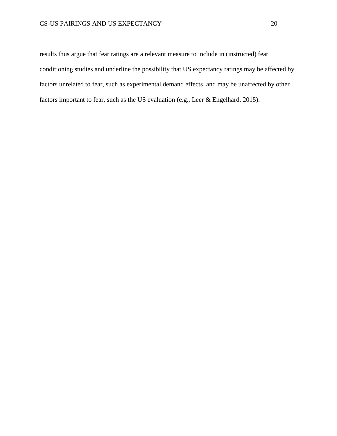## CS-US PAIRINGS AND US EXPECTANCY 20

results thus argue that fear ratings are a relevant measure to include in (instructed) fear conditioning studies and underline the possibility that US expectancy ratings may be affected by factors unrelated to fear, such as experimental demand effects, and may be unaffected by other factors important to fear, such as the US evaluation (e.g., Leer & Engelhard, 2015).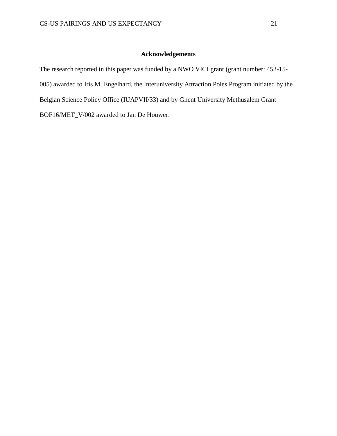## **Acknowledgements**

The research reported in this paper was funded by a NWO VICI grant (grant number: 453-15- 005) awarded to Iris M. Engelhard, the Interuniversity Attraction Poles Program initiated by the Belgian Science Policy Office (IUAPVII/33) and by Ghent University Methusalem Grant BOF16/MET\_V/002 awarded to Jan De Houwer.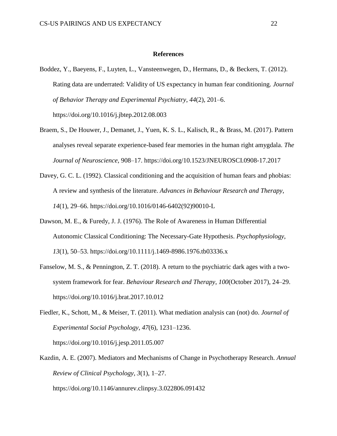#### **References**

- Boddez, Y., Baeyens, F., Luyten, L., Vansteenwegen, D., Hermans, D., & Beckers, T. (2012). Rating data are underrated: Validity of US expectancy in human fear conditioning. *Journal of Behavior Therapy and Experimental Psychiatry*, *44*(2), 201–6. https://doi.org/10.1016/j.jbtep.2012.08.003
- Braem, S., De Houwer, J., Demanet, J., Yuen, K. S. L., Kalisch, R., & Brass, M. (2017). Pattern analyses reveal separate experience-based fear memories in the human right amygdala. *The Journal of Neuroscience*, 908–17. https://doi.org/10.1523/JNEUROSCI.0908-17.2017
- Davey, G. C. L. (1992). Classical conditioning and the acquisition of human fears and phobias: A review and synthesis of the literature. *Advances in Behaviour Research and Therapy*, *14*(1), 29–66. https://doi.org/10.1016/0146-6402(92)90010-L
- Dawson, M. E., & Furedy, J. J. (1976). The Role of Awareness in Human Differential Autonomic Classical Conditioning: The Necessary-Gate Hypothesis. *Psychophysiology*, *13*(1), 50–53. https://doi.org/10.1111/j.1469-8986.1976.tb03336.x
- Fanselow, M. S., & Pennington, Z. T. (2018). A return to the psychiatric dark ages with a twosystem framework for fear. *Behaviour Research and Therapy*, *100*(October 2017), 24–29. https://doi.org/10.1016/j.brat.2017.10.012
- Fiedler, K., Schott, M., & Meiser, T. (2011). What mediation analysis can (not) do. *Journal of Experimental Social Psychology*, *47*(6), 1231–1236. https://doi.org/10.1016/j.jesp.2011.05.007
- Kazdin, A. E. (2007). Mediators and Mechanisms of Change in Psychotherapy Research. *Annual Review of Clinical Psychology*, *3*(1), 1–27. https://doi.org/10.1146/annurev.clinpsy.3.022806.091432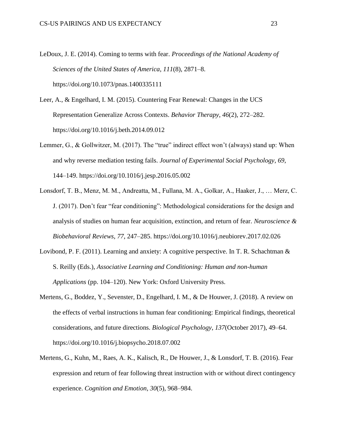- LeDoux, J. E. (2014). Coming to terms with fear. *Proceedings of the National Academy of Sciences of the United States of America*, *111*(8), 2871–8. https://doi.org/10.1073/pnas.1400335111
- Leer, A., & Engelhard, I. M. (2015). Countering Fear Renewal: Changes in the UCS Representation Generalize Across Contexts. *Behavior Therapy*, *46*(2), 272–282. https://doi.org/10.1016/j.beth.2014.09.012
- Lemmer, G., & Gollwitzer, M. (2017). The "true" indirect effect won't (always) stand up: When and why reverse mediation testing fails. *Journal of Experimental Social Psychology*, *69*, 144–149. https://doi.org/10.1016/j.jesp.2016.05.002
- Lonsdorf, T. B., Menz, M. M., Andreatta, M., Fullana, M. A., Golkar, A., Haaker, J., … Merz, C. J. (2017). Don't fear "fear conditioning": Methodological considerations for the design and analysis of studies on human fear acquisition, extinction, and return of fear. *Neuroscience & Biobehavioral Reviews*, *77*, 247–285. https://doi.org/10.1016/j.neubiorev.2017.02.026
- Lovibond, P. F. (2011). Learning and anxiety: A cognitive perspective. In T. R. Schachtman & S. Reilly (Eds.), *Associative Learning and Conditioning: Human and non-human Applications* (pp. 104–120). New York: Oxford University Press.
- Mertens, G., Boddez, Y., Sevenster, D., Engelhard, I. M., & De Houwer, J. (2018). A review on the effects of verbal instructions in human fear conditioning: Empirical findings, theoretical considerations, and future directions. *Biological Psychology*, *137*(October 2017), 49–64. https://doi.org/10.1016/j.biopsycho.2018.07.002
- Mertens, G., Kuhn, M., Raes, A. K., Kalisch, R., De Houwer, J., & Lonsdorf, T. B. (2016). Fear expression and return of fear following threat instruction with or without direct contingency experience. *Cognition and Emotion*, *30*(5), 968–984.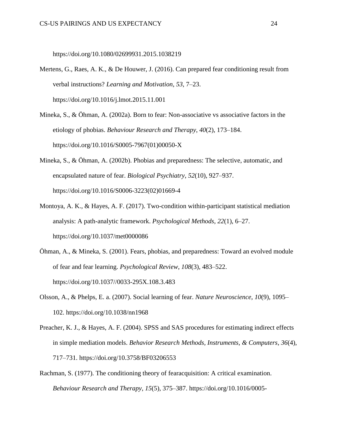https://doi.org/10.1080/02699931.2015.1038219

- Mertens, G., Raes, A. K., & De Houwer, J. (2016). Can prepared fear conditioning result from verbal instructions? *Learning and Motivation*, *53*, 7–23. https://doi.org/10.1016/j.lmot.2015.11.001
- Mineka, S., & Öhman, A. (2002a). Born to fear: Non-associative vs associative factors in the etiology of phobias. *Behaviour Research and Therapy*, *40*(2), 173–184. https://doi.org/10.1016/S0005-7967(01)00050-X
- Mineka, S., & Öhman, A. (2002b). Phobias and preparedness: The selective, automatic, and encapsulated nature of fear. *Biological Psychiatry*, *52*(10), 927–937. https://doi.org/10.1016/S0006-3223(02)01669-4
- Montoya, A. K., & Hayes, A. F. (2017). Two-condition within-participant statistical mediation analysis: A path-analytic framework. *Psychological Methods*, *22*(1), 6–27. https://doi.org/10.1037/met0000086
- Öhman, A., & Mineka, S. (2001). Fears, phobias, and preparedness: Toward an evolved module of fear and fear learning. *Psychological Review*, *108*(3), 483–522. https://doi.org/10.1037//0033-295X.108.3.483
- Olsson, A., & Phelps, E. a. (2007). Social learning of fear. *Nature Neuroscience*, *10*(9), 1095– 102. https://doi.org/10.1038/nn1968
- Preacher, K. J., & Hayes, A. F. (2004). SPSS and SAS procedures for estimating indirect effects in simple mediation models. *Behavior Research Methods, Instruments, & Computers*, *36*(4), 717–731. https://doi.org/10.3758/BF03206553
- Rachman, S. (1977). The conditioning theory of fearacquisition: A critical examination. *Behaviour Research and Therapy*, *15*(5), 375–387. https://doi.org/10.1016/0005-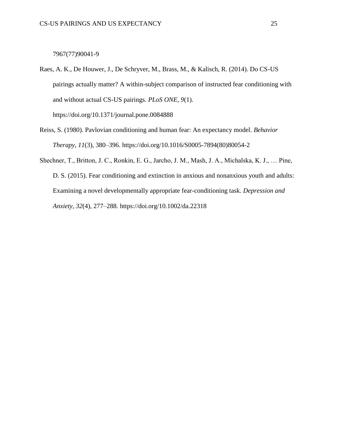7967(77)90041-9

Raes, A. K., De Houwer, J., De Schryver, M., Brass, M., & Kalisch, R. (2014). Do CS-US pairings actually matter? A within-subject comparison of instructed fear conditioning with and without actual CS-US pairings. *PLoS ONE*, *9*(1). https://doi.org/10.1371/journal.pone.0084888

- Reiss, S. (1980). Pavlovian conditioning and human fear: An expectancy model. *Behavior Therapy*, *11*(3), 380–396. https://doi.org/10.1016/S0005-7894(80)80054-2
- Shechner, T., Britton, J. C., Ronkin, E. G., Jarcho, J. M., Mash, J. A., Michalska, K. J., … Pine, D. S. (2015). Fear conditioning and extinction in anxious and nonanxious youth and adults: Examining a novel developmentally appropriate fear-conditioning task. *Depression and Anxiety*, *32*(4), 277–288. https://doi.org/10.1002/da.22318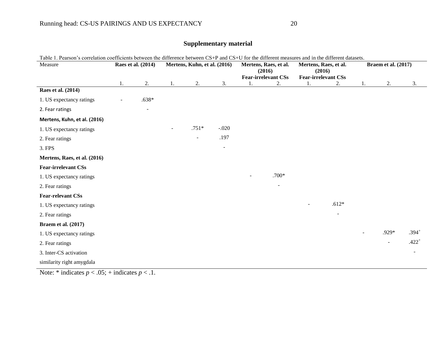| <b>Braem et al. (2017)</b><br>Raes et al. (2014)<br>Mertens, Kuhn, et al. (2016)<br>Mertens, Raes, et al.<br>Mertens, Raes, et al.<br>Measure<br>(2016)<br>(2016)<br><b>Fear-irrelevant CSs</b><br><b>Fear-irrelevant CSs</b><br>2.<br>2.<br>3.<br>2.<br>3.<br>2.<br>1.<br>2.<br>1.<br>1.<br>1.<br>1.<br>Raes et al. (2014)<br>$.638*$<br>1. US expectancy ratings<br>2. Fear ratings<br>Mertens, Kuhn, et al. (2016)<br>$.751*$<br>$-.020$<br>1. US expectancy ratings<br>.197<br>2. Fear ratings<br>3. FPS<br>Mertens, Raes, et al. (2016) |
|----------------------------------------------------------------------------------------------------------------------------------------------------------------------------------------------------------------------------------------------------------------------------------------------------------------------------------------------------------------------------------------------------------------------------------------------------------------------------------------------------------------------------------------------|
|                                                                                                                                                                                                                                                                                                                                                                                                                                                                                                                                              |
|                                                                                                                                                                                                                                                                                                                                                                                                                                                                                                                                              |
|                                                                                                                                                                                                                                                                                                                                                                                                                                                                                                                                              |
|                                                                                                                                                                                                                                                                                                                                                                                                                                                                                                                                              |
|                                                                                                                                                                                                                                                                                                                                                                                                                                                                                                                                              |
|                                                                                                                                                                                                                                                                                                                                                                                                                                                                                                                                              |
|                                                                                                                                                                                                                                                                                                                                                                                                                                                                                                                                              |
|                                                                                                                                                                                                                                                                                                                                                                                                                                                                                                                                              |
|                                                                                                                                                                                                                                                                                                                                                                                                                                                                                                                                              |
|                                                                                                                                                                                                                                                                                                                                                                                                                                                                                                                                              |
|                                                                                                                                                                                                                                                                                                                                                                                                                                                                                                                                              |
| <b>Fear-irrelevant CSs</b>                                                                                                                                                                                                                                                                                                                                                                                                                                                                                                                   |
| $.700*$<br>1. US expectancy ratings                                                                                                                                                                                                                                                                                                                                                                                                                                                                                                          |
| 2. Fear ratings                                                                                                                                                                                                                                                                                                                                                                                                                                                                                                                              |
| <b>Fear-relevant CSs</b>                                                                                                                                                                                                                                                                                                                                                                                                                                                                                                                     |
| $.612*$<br>1. US expectancy ratings                                                                                                                                                                                                                                                                                                                                                                                                                                                                                                          |
| 2. Fear ratings                                                                                                                                                                                                                                                                                                                                                                                                                                                                                                                              |
| <b>Braem et al. (2017)</b>                                                                                                                                                                                                                                                                                                                                                                                                                                                                                                                   |
| .929*<br>$.394^{+}$<br>1. US expectancy ratings                                                                                                                                                                                                                                                                                                                                                                                                                                                                                              |
| $.422^{+}$<br>2. Fear ratings<br>$\overline{\phantom{a}}$                                                                                                                                                                                                                                                                                                                                                                                                                                                                                    |
| 3. Inter-CS activation<br>$\overline{\phantom{a}}$                                                                                                                                                                                                                                                                                                                                                                                                                                                                                           |
| similarity right amygdala                                                                                                                                                                                                                                                                                                                                                                                                                                                                                                                    |

## **Supplementary material**

Note: \* indicates  $p < .05$ ; + indicates  $p < .1$ .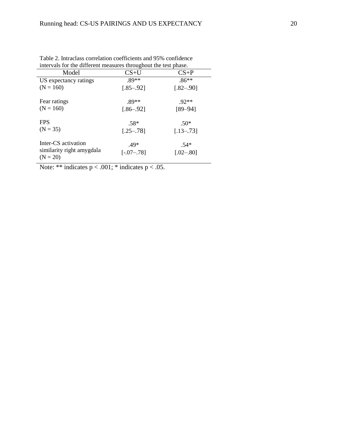| intervals for the different measures throughout the test phase. |               |               |
|-----------------------------------------------------------------|---------------|---------------|
| Model                                                           | $CS+U$        | $CS+P$        |
| US expectancy ratings                                           | $.89**$       | $.86**$       |
| $(N = 160)$                                                     | $[.85 - .92]$ | $[.82 - .90]$ |
| Fear ratings                                                    | .89**         | $92**$        |
| $(N = 160)$                                                     | $1.86 - .921$ | $[89 - 94]$   |
| <b>FPS</b>                                                      | $.58*$        | $.50*$        |
| $(N = 35)$                                                      | $[.25 - .78]$ | $[.13 - .73]$ |
| Inter-CS activation                                             | $.49*$        | $.54*$        |
| similarity right amygdala<br>$(N = 20)$                         | $[-07 - 78]$  | $[.02 - .80]$ |

Table 2. Intraclass correlation coefficients and 95% confidence intervals for the different measures throughout the test phase.

Note: \*\* indicates  $p < .001$ ; \* indicates  $p < .05$ .